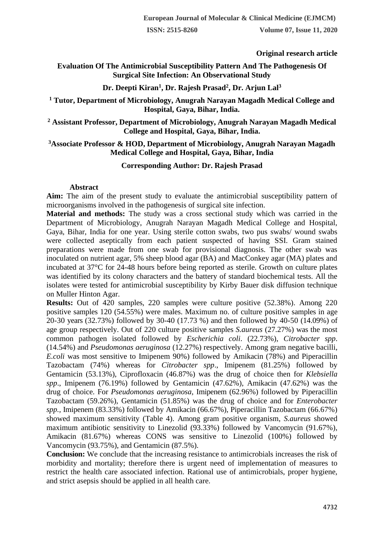**Original research article** 

# **Evaluation Of The Antimicrobial Susceptibility Pattern And The Pathogenesis Of Surgical Site Infection: An Observational Study**

# **Dr. Deepti Kiran<sup>1</sup> , Dr. Rajesh Prasad<sup>2</sup> , Dr. Arjun Lal<sup>3</sup>**

## **<sup>1</sup> Tutor, Department of Microbiology, Anugrah Narayan Magadh Medical College and Hospital, Gaya, Bihar, India.**

## **<sup>2</sup> Assistant Professor, Department of Microbiology, Anugrah Narayan Magadh Medical College and Hospital, Gaya, Bihar, India.**

## **<sup>3</sup>Associate Professor & HOD, Department of Microbiology, Anugrah Narayan Magadh Medical College and Hospital, Gaya, Bihar, India**

## **Corresponding Author: Dr. Rajesh Prasad**

### **Abstract**

**Aim:** The aim of the present study to evaluate the antimicrobial susceptibility pattern of microorganisms involved in the pathogenesis of surgical site infection.

**Material and methods:** The study was a cross sectional study which was carried in the Department of Microbiology, Anugrah Narayan Magadh Medical College and Hospital, Gaya, Bihar, India for one year. Using sterile cotton swabs, two pus swabs/ wound swabs were collected aseptically from each patient suspected of having SSI. Gram stained preparations were made from one swab for provisional diagnosis. The other swab was inoculated on nutrient agar, 5% sheep blood agar (BA) and MacConkey agar (MA) plates and incubated at 37°C for 24-48 hours before being reported as sterile. Growth on culture plates was identified by its colony characters and the battery of standard biochemical tests. All the isolates were tested for antimicrobial susceptibility by Kirby Bauer disk diffusion technique on Muller Hinton Agar.

**Results:** Out of 420 samples, 220 samples were culture positive (52.38%). Among 220 positive samples 120 (54.55%) were males. Maximum no. of culture positive samples in age 20-30 years (32.73%) followed by 30-40 (17.73 %) and then followed by 40-50 (14.09%) of age group respectively. Out of 220 culture positive samples *S.aureus* (27.27%) was the most common pathogen isolated followed by *Escherichia coli*. (22.73%), *Citrobacter spp*. (14.54%) and *Pseudomonas aeruginosa* (12.27%) respectively. Among gram negative bacilli, *E.coli* was most sensitive to Imipenem 90%) followed by Amikacin (78%) and Piperacillin Tazobactam (74%) whereas for *Citrobacter spp*., Imipenem (81.25%) followed by Gentamicin (53.13%), Ciprofloxacin (46.87%) was the drug of choice then for *Klebsiella spp*., Imipenem (76.19%) followed by Gentamicin (47.62%), Amikacin (47.62%) was the drug of choice. For *Pseudomonas aeruginosa*, Imipenem (62.96%) followed by Piperacillin Tazobactam (59.26%), Gentamicin (51.85%) was the drug of choice and for *Enterobacter spp.,* Imipenem (83.33%) followed by Amikacin (66.67%), Piperacillin Tazobactam (66.67%) showed maximum sensitivity (Table 4). Among gram positive organism, *S.aureus* showed maximum antibiotic sensitivity to Linezolid (93.33%) followed by Vancomycin (91.67%), Amikacin (81.67%) whereas CONS was sensitive to Linezolid (100%) followed by Vancomycin (93.75%), and Gentamicin (87.5%).

**Conclusion:** We conclude that the increasing resistance to antimicrobials increases the risk of morbidity and mortality; therefore there is urgent need of implementation of measures to restrict the health care associated infection. Rational use of antimicrobials, proper hygiene, and strict asepsis should be applied in all health care.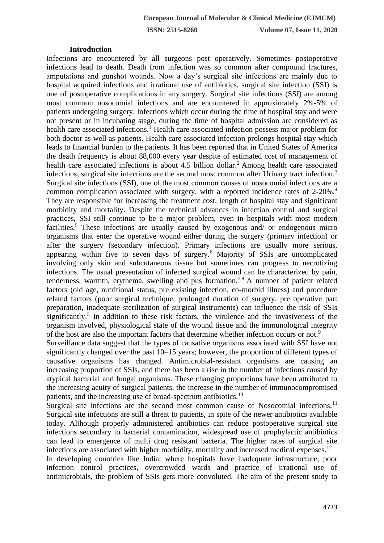#### **Introduction**

Infections are encountered by all surgeons post operatively. Sometimes postoperative infections lead to death. Death from infection was so common after compound fractures, amputations and gunshot wounds. Now a day's surgical site infections are mainly due to hospital acquired infections and irrational use of antibiotics, surgical site infection (SSI) is one of postoperative complications in any surgery. Surgical site infections (SSI) are among most common nosocomial infections and are encountered in approximately 2%-5% of patients undergoing surgery. Infections which occur during the time of hospital stay and were not present or in incubating stage, during the time of hospital admission are considered as health care associated infections.<sup>1</sup> Health care associated infection possess major problem for both doctor as well as patients. Health care associated infection prolongs hospital stay which leads to financial burden to the patients. It has been reported that in United States of America the death frequency is about 88,000 every year despite of estimated cost of management of health care associated infections is about 4.5 billion dollar.<sup>2</sup> Among health care associated infections, surgical site infections are the second most common after Urinary tract infection.<sup>3</sup> Surgical site infections (SSI), one of the most common causes of nosocomial infections are a common complication associated with surgery, with a reported incidence rates of 2-20%.<sup>4</sup> They are responsible for increasing the treatment cost, length of hospital stay and significant morbidity and mortality. Despite the technical advances in infection control and surgical practices, SSI still continue to be a major problem, even in hospitals with most modern facilities.<sup>5</sup> These infections are usually caused by exogenous and/ or endogenous micro organisms that enter the operative wound either during the surgery (primary infection) or after the surgery (secondary infection). Primary infections are usually more serious, appearing within five to seven days of surgery.<sup>6</sup> Majority of SSIs are uncomplicated involving only skin and subcutaneous tissue but sometimes can progress to necrotizing infections. The usual presentation of infected surgical wound can be characterized by pain, tenderness, warmth, erythema, swelling and pus formation.7,8 A number of patient related factors (old age, nutritional status, pre existing infection, co-morbid illness) and procedure related factors (poor surgical technique, prolonged duration of surgery, pre operative part preparation, inadequate sterilization of surgical instruments) can influence the risk of SSIs significantly.<sup>5</sup> In addition to these risk factors, the virulence and the invasiveness of the organism involved, physiological state of the wound tissue and the immunological integrity of the host are also the important factors that determine whether infection occurs or not.<sup>9</sup>

Surveillance data suggest that the types of causative organisms associated with SSI have not significantly changed over the past 10–15 years; however, the proportion of different types of causative organisms has changed. Antimicrobial-resistant organisms are causing an increasing proportion of SSIs, and there has been a rise in the number of infections caused by atypical bacterial and fungal organisms. These changing proportions have been attributed to the increasing acuity of surgical patients, the increase in the number of immunocompromised patients, and the increasing use of broad-spectrum antibiotics.<sup>10</sup>

Surgical site infections are the second most common cause of Nosocomial infections.<sup>11</sup> Surgical site infections are still a threat to patients, in spite of the newer antibiotics available today. Although properly administered antibiotics can reduce postoperative surgical site infections secondary to bacterial contamination, widespread use of prophylactic antibiotics can lead to emergence of multi drug resistant bacteria. The higher rates of surgical site infections are associated with higher morbidity, mortality and increased medical expenses.<sup>12</sup>

In developing countries like India, where hospitals have inadequate infrastructure, poor infection control practices, overcrowded wards and practice of irrational use of antimicrobials, the problem of SSIs gets more convoluted. The aim of the present study to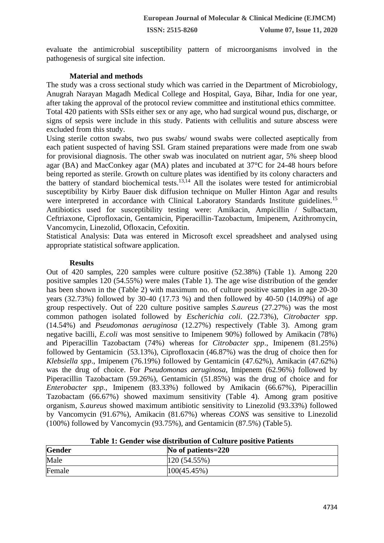evaluate the antimicrobial susceptibility pattern of microorganisms involved in the pathogenesis of surgical site infection.

### **Material and methods**

The study was a cross sectional study which was carried in the Department of Microbiology, Anugrah Narayan Magadh Medical College and Hospital, Gaya, Bihar, India for one year, after taking the approval of the protocol review committee and institutional ethics committee. Total 420 patients with SSIs either sex or any age, who had surgical wound pus, discharge, or signs of sepsis were include in this study. Patients with cellulitis and suture abscess were excluded from this study.

Using sterile cotton swabs, two pus swabs/ wound swabs were collected aseptically from each patient suspected of having SSI. Gram stained preparations were made from one swab for provisional diagnosis. The other swab was inoculated on nutrient agar, 5% sheep blood agar (BA) and MacConkey agar (MA) plates and incubated at 37°C for 24-48 hours before being reported as sterile. Growth on culture plates was identified by its colony characters and the battery of standard biochemical tests.<sup>13,14</sup> All the isolates were tested for antimicrobial susceptibility by Kirby Bauer disk diffusion technique on Muller Hinton Agar and results were interpreted in accordance with Clinical Laboratory Standards Institute guidelines.<sup>15</sup> Antibiotics used for susceptibility testing were: Amikacin, Ampicillin / Sulbactam, Ceftriaxone, Ciprofloxacin, Gentamicin, Piperacillin-Tazobactum, Imipenem, Azithromycin, Vancomycin, Linezolid, Ofloxacin, Cefoxitin.

Statistical Analysis: Data was entered in Microsoft excel spreadsheet and analysed using appropriate statistical software application.

#### **Results**

Out of 420 samples, 220 samples were culture positive (52.38%) (Table 1). Among 220 positive samples 120 (54.55%) were males (Table 1). The age wise distribution of the gender has been shown in the (Table 2) with maximum no. of culture positive samples in age 20-30 years (32.73%) followed by 30-40 (17.73 %) and then followed by 40-50 (14.09%) of age group respectively. Out of 220 culture positive samples *S.aureus* (27.27%) was the most common pathogen isolated followed by *Escherichia coli*. (22.73%), *Citrobacter spp*. (14.54%) and *Pseudomonas aeruginosa* (12.27%) respectively (Table 3). Among gram negative bacilli, *E.coli* was most sensitive to Imipenem 90%) followed by Amikacin (78%) and Piperacillin Tazobactam (74%) whereas for *Citrobacter spp*., Imipenem (81.25%) followed by Gentamicin (53.13%), Ciprofloxacin (46.87%) was the drug of choice then for *Klebsiella spp*., Imipenem (76.19%) followed by Gentamicin (47.62%), Amikacin (47.62%) was the drug of choice. For *Pseudomonas aeruginosa*, Imipenem (62.96%) followed by Piperacillin Tazobactam (59.26%), Gentamicin (51.85%) was the drug of choice and for *Enterobacter spp.,* Imipenem (83.33%) followed by Amikacin (66.67%), Piperacillin Tazobactam (66.67%) showed maximum sensitivity (Table 4). Among gram positive organism, *S.aureus* showed maximum antibiotic sensitivity to Linezolid (93.33%) followed by Vancomycin (91.67%), Amikacin (81.67%) whereas *CONS* was sensitive to Linezolid (100%) followed by Vancomycin (93.75%), and Gentamicin (87.5%) (Table 5).

| <b>Gender</b> | No of patients=220 |
|---------------|--------------------|
| Male          | 120(54.55%)        |
| Female        | 100(45.45%)        |

**Table 1: Gender wise distribution of Culture positive Patients**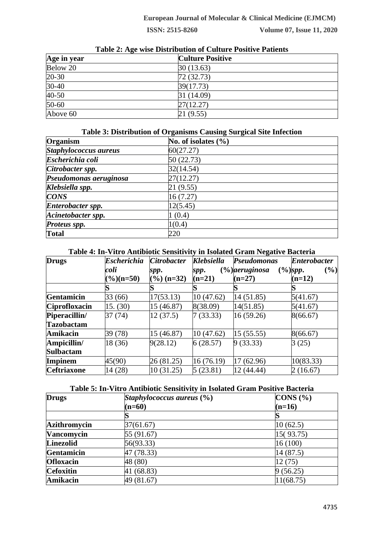| Age in year | <b>Culture Positive</b> |  |
|-------------|-------------------------|--|
| Below 20    | 30(13.63)               |  |
| 20-30       | 72(32.73)               |  |
| $30-40$     | 39(17.73)               |  |
| 40-50       | 31 (14.09)              |  |
| 50-60       | 27(12.27)               |  |
| Above 60    | 21 (9.55)               |  |

# **Table 2: Age wise Distribution of Culture Positive Patients**

# **Table 3: Distribution of Organisms Causing Surgical Site Infection**

| Organism               | No. of isolates $(\% )$ |
|------------------------|-------------------------|
| Staphylococcus aureus  | 60(27.27)               |
| Escherichia coli       | 50(22.73)               |
| Citrobacter spp.       | 32(14.54)               |
| Pseudomonas aeruginosa | 27(12.27)               |
| Klebsiella spp.        | 21 (9.55)               |
| <b>CONS</b>            | 16(7.27)                |
| Enterobacter spp.      | 12(5.45)                |
| Acinetobacter spp.     | (0.4)                   |
| Proteus spp.           | 1(0.4)                  |
| <b>Total</b>           | 220                     |

# **Table 4: In-Vitro Antibiotic Sensitivity in Isolated Gram Negative Bacteria**

| <b>Drugs</b>         | <b>Escherichia</b>         | <b>Citrobacter</b>     | <b>Klebsiella</b> | <b>Pseudomonas</b> | <b>Enterobacter</b>         |
|----------------------|----------------------------|------------------------|-------------------|--------------------|-----------------------------|
|                      | coli                       | spp.                   | spp.              | (%)aeruginosa      | $(\frac{6}{9})$ spp.<br>(%) |
|                      | $\frac{\frac{9}{6}}{n=50}$ | $(\frac{6}{6})$ (n=32) | $(n=21)$          | $(n=27)$           | $(n=12)$                    |
|                      |                            |                        |                   |                    |                             |
| Gentamicin           | 33 (66)                    | 17(53.13)              | 10(47.62)         | 14(51.85)          | 5(41.67)                    |
| <b>Ciprofloxacin</b> | 15. (30)                   | 15 (46.87)             | 8(38.09)          | 14(51.85)          | 5(41.67)                    |
| Piperacillin/        | 37 (74)                    | 12(37.5)               | 7(33.33)          | 16(59.26)          | 8(66.67)                    |
| <b>Tazobactam</b>    |                            |                        |                   |                    |                             |
| <b>Amikacin</b>      | 39 (78)                    | 15 (46.87)             | 10(47.62)         | 15(55.55)          | 8(66.67)                    |
| Ampicillin/          | 18 (36)                    | 9(28.12)               | 6(28.57)          | 9(33.33)           | 3(25)                       |
| <b>Sulbactam</b>     |                            |                        |                   |                    |                             |
| Impinem              | 45(90)                     | 26 (81.25)             | 16(76.19)         | 17 (62.96)         | 10(83.33)                   |
| <b>Ceftriaxone</b>   | 14 (28)                    | 10(31.25)              | 5(23.81)          | 12 (44.44)         | 2(16.67)                    |

## **Table 5: In-Vitro Antibiotic Sensitivity in Isolated Gram Positive Bacteria**

| <b>Drugs</b>        | Staphylococcus aureus $(\% )$ | CONS (%)  |
|---------------------|-------------------------------|-----------|
|                     | $(n=60)$                      | $(n=16)$  |
|                     |                               |           |
| <b>Azithromycin</b> | 37(61.67)                     | 10(62.5)  |
| <b>Vancomycin</b>   | 55 (91.67)                    | 15(93.75) |
| <b>Linezolid</b>    | 56(93.33)                     | 16(100)   |
| <b>Gentamicin</b>   | 47 (78.33)                    | 14(87.5)  |
| <b>Ofloxacin</b>    | 48 (80)                       | 12(75)    |
| <b>Cefoxitin</b>    | 41 (68.83)                    | 9(56.25)  |
| Amikacin            | 49 (81.67)                    | 11(68.75) |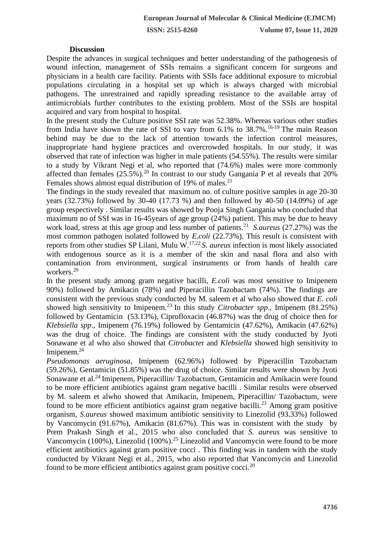#### **Discussion**

Despite the advances in surgical techniques and better understanding of the pathogenesis of wound infection, management of SSIs remains a significant concern for surgeons and physicians in a health care facility. Patients with SSIs face additional exposure to microbial populations circulating in a hospital set up which is always charged with microbial pathogens. The unrestrained and rapidly spreading resistance to the available array of antimicrobials further contributes to the existing problem. Most of the SSIs are hospital acquired and vary from hospital to hospital.

In the present study the Culture positive SSI rate was 52.38%. Whereas various other studies from India have shown the rate of SSI to vary from  $6.1\%$  to  $38.7\%$ .<sup>16-19</sup> The main Reason behind may be due to the lack of attention towards the infection control measures, inappropriate hand hygiene practices and overcrowded hospitals. In our study, it was observed that rate of infection was higher in male patients (54.55%). The results were similar to a study by Vikrant Negi et al, who reported that (74.6%) males were more commonly affected than females  $(25.5\%)$ .<sup>20</sup> In contrast to our study Gangania P et al reveals that 20% Females shows almost equal distribution of 19% of males.<sup>21</sup>

The findings in the study revealed that maximum no. of culture positive samples in age 20-30 years (32.73%) followed by 30-40 (17.73 %) and then followed by 40-50 (14.09%) of age group respectively . Similar results was showed by Pooja Singh Gangania who concluded that maximum no of SSI was in 16-45years of age group (24%) patient. This may be due to heavy work load, stress at this age group and less number of patients.<sup>21</sup> S. aureus (27.27%) was the most common pathogen isolated followed by *E.coli* (22.73%). This result is consistent with reports from other studies SP Lilani, Mulu W.17,22 *S. aureus* infection is most likely associated with endogenous source as it is a member of the skin and nasal flora and also with contamination from environment, surgical instruments or from hands of health care workers.<sup>20</sup>

In the present study among gram negative bacilli, *E.coli* was most sensitive to Imipenem 90%) followed by Amikacin (78%) and Piperacillin Tazobactam (74%). The findings are consistent with the previous study conducted by M. saleem et al who also showed that *E. coli*  showed high sensitivity to Imipenem.<sup>23</sup> In this study *Citrobacter spp.*, Imipenem  $(81.25%)$ followed by Gentamicin (53.13%), Ciprofloxacin (46.87%) was the drug of choice then for *Klebsiella spp*., Imipenem (76.19%) followed by Gentamicin (47.62%), Amikacin (47.62%) was the drug of choice. The findings are consistent with the study conducted by Jyoti Sonawane et al who also showed that *Citrobacte*r and *Klebsiella* showed high sensitivity to Imipenem.<sup>24</sup>

*Pseudomonas aeruginosa*, Imipenem (62.96%) followed by Piperacillin Tazobactam (59.26%), Gentamicin (51.85%) was the drug of choice. Similar results were shown by Jyoti Sonawane et al.<sup>24</sup> Imipenem, Piperacillin/ Tazobactum, Gentamicin and Amikacin were found to be more efficient antibiotics against gram negative bacilli . Similar results were observed by M. saleem et alwho showed that Amikacin, Imipenem, Piperacillin/ Tazobactum, were found to be more efficient antibiotics against gram negative bacilli.<sup>23</sup> Among gram positive organism, *S.aureus* showed maximum antibiotic sensitivity to Linezolid (93.33%) followed by Vancomycin (91.67%), Amikacin (81.67%). This was in consistent with the study by Prem Prakash Singh et al., 2015 who also concluded that *S. aureus* was sensitive to Vancomycin (100%), Linezolid (100%).<sup>25</sup> Linezolid and Vancomycin were found to be more efficient antibiotics against gram positive cocci . This finding was in tandem with the study conducted by Vikrant Negi et al., 2015, who also reported that Vancomycin and Linezolid found to be more efficient antibiotics against gram positive cocci.<sup>20</sup>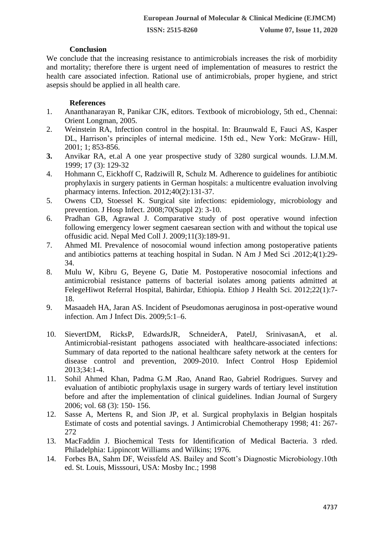# **Conclusion**

We conclude that the increasing resistance to antimicrobials increases the risk of morbidity and mortality; therefore there is urgent need of implementation of measures to restrict the health care associated infection. Rational use of antimicrobials, proper hygiene, and strict asepsis should be applied in all health care.

## **References**

- 1. Ananthanarayan R, Panikar CJK, editors. Textbook of microbiology, 5th ed., Chennai: Orient Longman, 2005.
- 2. Weinstein RA, Infection control in the hospital. In: Braunwald E, Fauci AS, Kasper DL, Harrison's principles of internal medicine. 15th ed., New York: McGraw- Hill, 2001; 1; 853-856.
- **3.** Anvikar RA, et.al A one year prospective study of 3280 surgical wounds. I.J.M.M. 1999; 17 (3): 129-32
- 4. Hohmann C, Eickhoff C, Radziwill R, Schulz M. Adherence to guidelines for antibiotic prophylaxis in surgery patients in German hospitals: a multicentre evaluation involving pharmacy interns. Infection. 2012;40(2):131-37.
- 5. Owens CD, Stoessel K. Surgical site infections: epidemiology, microbiology and prevention. J Hosp Infect. 2008;70(Suppl 2): 3-10.
- 6. Pradhan GB, Agrawal J. Comparative study of post operative wound infection following emergency lower segment caesarean section with and without the topical use offusidic acid. Nepal Med Coll J. 2009;11(3):189-91.
- 7. Ahmed MI. Prevalence of nosocomial wound infection among postoperative patients and antibiotics patterns at teaching hospital in Sudan. N Am J Med Sci .2012;4(1):29- 34.
- 8. Mulu W, Kibru G, Beyene G, Datie M. Postoperative nosocomial infections and antimicrobial resistance patterns of bacterial isolates among patients admitted at FelegeHiwot Referral Hospital, Bahirdar, Ethiopia. Ethiop J Health Sci. 2012;22(1):7- 18.
- 9. Masaadeh HA, Jaran AS. Incident of Pseudomonas aeruginosa in post-operative wound infection. Am J Infect Dis. 2009;5:1–6.
- 10. SievertDM, RicksP, EdwardsJR, SchneiderA, PatelJ, SrinivasanA, et al. Antimicrobial-resistant pathogens associated with healthcare-associated infections: Summary of data reported to the national healthcare safety network at the centers for disease control and prevention, 2009-2010. Infect Control Hosp Epidemiol 2013;34:1-4.
- 11. Sohil Ahmed Khan, Padma G.M .Rao, Anand Rao, Gabriel Rodrigues. Survey and evaluation of antibiotic prophylaxis usage in surgery wards of tertiary level institution before and after the implementation of clinical guidelines. Indian Journal of Surgery 2006; vol. 68 (3): 150- 156.
- 12. Sasse A, Mertens R, and Sion JP, et al. Surgical prophylaxis in Belgian hospitals Estimate of costs and potential savings. J Antimicrobial Chemotherapy 1998; 41: 267- 272
- 13. MacFaddin J. Biochemical Tests for Identification of Medical Bacteria. 3 rded. Philadelphia: Lippincott Williams and Wilkins; 1976.
- 14. Forbes BA, Sahm DF, Weissfeld AS. Bailey and Scott's Diagnostic Microbiology.10th ed. St. Louis, Misssouri, USA: Mosby Inc.; 1998